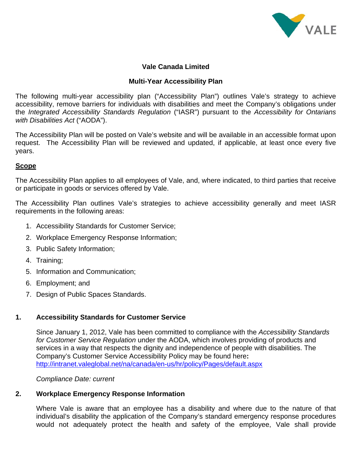

# **Vale Canada Limited**

## **Multi-Year Accessibility Plan**

The following multi-year accessibility plan ("Accessibility Plan") outlines Vale's strategy to achieve accessibility, remove barriers for individuals with disabilities and meet the Company's obligations under the *Integrated Accessibility Standards Regulation* ("IASR") pursuant to the *Accessibility for Ontarians with Disabilities Act* ("AODA").

The Accessibility Plan will be posted on Vale's website and will be available in an accessible format upon request. The Accessibility Plan will be reviewed and updated, if applicable, at least once every five years.

## **Scope**

The Accessibility Plan applies to all employees of Vale, and, where indicated, to third parties that receive or participate in goods or services offered by Vale.

The Accessibility Plan outlines Vale's strategies to achieve accessibility generally and meet IASR requirements in the following areas:

- 1. Accessibility Standards for Customer Service;
- 2. Workplace Emergency Response Information;
- 3. Public Safety Information;
- 4. Training;
- 5. Information and Communication;
- 6. Employment; and
- 7. Design of Public Spaces Standards.

# **1. Accessibility Standards for Customer Service**

Since January 1, 2012, Vale has been committed to compliance with the *Accessibility Standards for Customer Service Regulation* under the AODA, which involves providing of products and services in a way that respects the dignity and independence of people with disabilities. The Company's Customer Service Accessibility Policy may be found here**:**  http://intranet.valeglobal.net/na/canada/en-us/hr/policy/Pages/default.aspx

*Compliance Date: current* 

# **2. Workplace Emergency Response Information**

Where Vale is aware that an employee has a disability and where due to the nature of that individual's disability the application of the Company's standard emergency response procedures would not adequately protect the health and safety of the employee, Vale shall provide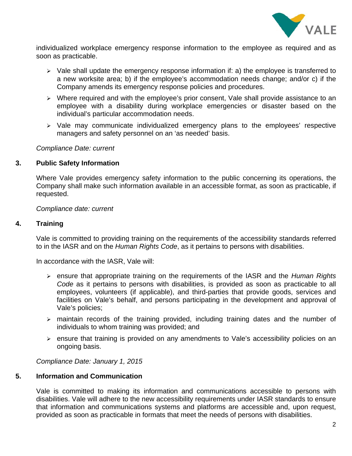

individualized workplace emergency response information to the employee as required and as soon as practicable.

- ¾ Vale shall update the emergency response information if: a) the employee is transferred to a new worksite area; b) if the employee's accommodation needs change; and/or c) if the Company amends its emergency response policies and procedures.
- ¾ Where required and with the employee's prior consent, Vale shall provide assistance to an employee with a disability during workplace emergencies or disaster based on the individual's particular accommodation needs.
- ¾ Vale may communicate individualized emergency plans to the employees' respective managers and safety personnel on an 'as needed' basis.

#### *Compliance Date: current*

## **3. Public Safety Information**

Where Vale provides emergency safety information to the public concerning its operations, the Company shall make such information available in an accessible format, as soon as practicable, if requested.

*Compliance date: current* 

## **4. Training**

Vale is committed to providing training on the requirements of the accessibility standards referred to in the IASR and on the *Human Rights Code*, as it pertains to persons with disabilities.

In accordance with the IASR, Vale will:

- ¾ ensure that appropriate training on the requirements of the IASR and the *Human Rights Code* as it pertains to persons with disabilities, is provided as soon as practicable to all employees, volunteers (if applicable), and third-parties that provide goods, services and facilities on Vale's behalf, and persons participating in the development and approval of Vale's policies;
- $\triangleright$  maintain records of the training provided, including training dates and the number of individuals to whom training was provided; and
- ¾ ensure that training is provided on any amendments to Vale's accessibility policies on an ongoing basis.

*Compliance Date: January 1, 2015* 

## **5. Information and Communication**

Vale is committed to making its information and communications accessible to persons with disabilities. Vale will adhere to the new accessibility requirements under IASR standards to ensure that information and communications systems and platforms are accessible and, upon request, provided as soon as practicable in formats that meet the needs of persons with disabilities.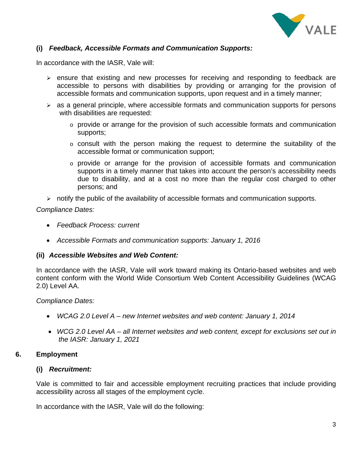

## **(i)** *Feedback, Accessible Formats and Communication Supports:*

In accordance with the IASR, Vale will:

- $\triangleright$  ensure that existing and new processes for receiving and responding to feedback are accessible to persons with disabilities by providing or arranging for the provision of accessible formats and communication supports, upon request and in a timely manner;
- $\triangleright$  as a general principle, where accessible formats and communication supports for persons with disabilities are requested:
	- $\circ$  provide or arrange for the provision of such accessible formats and communication supports;
	- o consult with the person making the request to determine the suitability of the accessible format or communication support;
	- o provide or arrange for the provision of accessible formats and communication supports in a timely manner that takes into account the person's accessibility needs due to disability, and at a cost no more than the regular cost charged to other persons; and
- $\triangleright$  notify the public of the availability of accessible formats and communication supports.

#### *Compliance Dates:*

- *Feedback Process: current*
- *Accessible Formats and communication supports: January 1, 2016*

#### **(ii)** *Accessible Websites and Web Content:*

In accordance with the IASR, Vale will work toward making its Ontario-based websites and web content conform with the World Wide Consortium Web Content Accessibility Guidelines (WCAG 2.0) Level AA.

#### *Compliance Dates:*

- *WCAG 2.0 Level A new Internet websites and web content: January 1, 2014*
- *WCG 2.0 Level AA all Internet websites and web content, except for exclusions set out in the IASR: January 1, 2021*

#### **6. Employment**

#### **(i)** *Recruitment:*

Vale is committed to fair and accessible employment recruiting practices that include providing accessibility across all stages of the employment cycle.

In accordance with the IASR, Vale will do the following: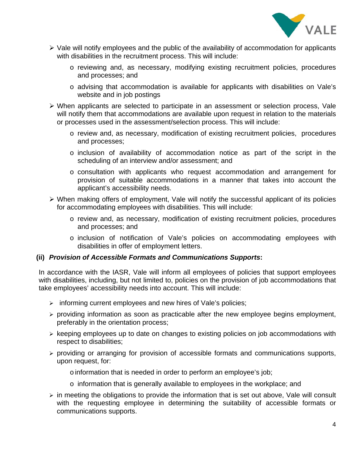

- $\triangleright$  Vale will notify employees and the public of the availability of accommodation for applicants with disabilities in the recruitment process. This will include:
	- o reviewing and, as necessary, modifying existing recruitment policies, procedures and processes; and
	- o advising that accommodation is available for applicants with disabilities on Vale's website and in job postings
- ¾ When applicants are selected to participate in an assessment or selection process, Vale will notify them that accommodations are available upon request in relation to the materials or processes used in the assessment/selection process. This will include:
	- o review and, as necessary, modification of existing recruitment policies, procedures and processes;
	- o inclusion of availability of accommodation notice as part of the script in the scheduling of an interview and/or assessment; and
	- o consultation with applicants who request accommodation and arrangement for provision of suitable accommodations in a manner that takes into account the applicant's accessibility needs.
- ¾ When making offers of employment, Vale will notify the successful applicant of its policies for accommodating employees with disabilities. This will include:
	- o review and, as necessary, modification of existing recruitment policies, procedures and processes; and
	- o inclusion of notification of Vale's policies on accommodating employees with disabilities in offer of employment letters.

## **(ii)** *Provision of Accessible Formats and Communications Supports***:**

In accordance with the IASR, Vale will inform all employees of policies that support employees with disabilities, including, but not limited to, policies on the provision of job accommodations that take employees' accessibility needs into account. This will include:

- $\triangleright$  informing current employees and new hires of Vale's policies;
- $\triangleright$  providing information as soon as practicable after the new employee begins employment, preferably in the orientation process;
- $\triangleright$  keeping employees up to date on changes to existing policies on job accommodations with respect to disabilities;
- ¾ providing or arranging for provision of accessible formats and communications supports, upon request, for:
	- o information that is needed in order to perform an employee's job;
	- o information that is generally available to employees in the workplace; and
- $\triangleright$  in meeting the obligations to provide the information that is set out above, Vale will consult with the requesting employee in determining the suitability of accessible formats or communications supports.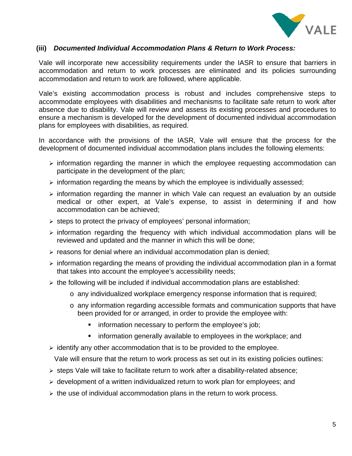

#### **(iii)** *Documented Individual Accommodation Plans & Return to Work Process:*

Vale will incorporate new accessibility requirements under the IASR to ensure that barriers in accommodation and return to work processes are eliminated and its policies surrounding accommodation and return to work are followed, where applicable.

Vale's existing accommodation process is robust and includes comprehensive steps to accommodate employees with disabilities and mechanisms to facilitate safe return to work after absence due to disability. Vale will review and assess its existing processes and procedures to ensure a mechanism is developed for the development of documented individual accommodation plans for employees with disabilities, as required.

In accordance with the provisions of the IASR, Vale will ensure that the process for the development of documented individual accommodation plans includes the following elements:

- $\triangleright$  information regarding the manner in which the employee requesting accommodation can participate in the development of the plan;
- $\triangleright$  information regarding the means by which the employee is individually assessed;
- $\geq$  information regarding the manner in which Vale can request an evaluation by an outside medical or other expert, at Vale's expense, to assist in determining if and how accommodation can be achieved;
- $\triangleright$  steps to protect the privacy of employees' personal information;
- $\triangleright$  information regarding the frequency with which individual accommodation plans will be reviewed and updated and the manner in which this will be done;
- $\triangleright$  reasons for denial where an individual accommodation plan is denied;
- $\triangleright$  information regarding the means of providing the individual accommodation plan in a format that takes into account the employee's accessibility needs;
- $\triangleright$  the following will be included if individual accommodation plans are established:
	- o any individualized workplace emergency response information that is required;
	- o any information regarding accessible formats and communication supports that have been provided for or arranged, in order to provide the employee with:
		- information necessary to perform the employee's job;
		- information generally available to employees in the workplace; and
- $\triangleright$  identify any other accommodation that is to be provided to the employee.

Vale will ensure that the return to work process as set out in its existing policies outlines:

- ¾ steps Vale will take to facilitate return to work after a disability-related absence;
- $\triangleright$  development of a written individualized return to work plan for employees; and
- $\triangleright$  the use of individual accommodation plans in the return to work process.